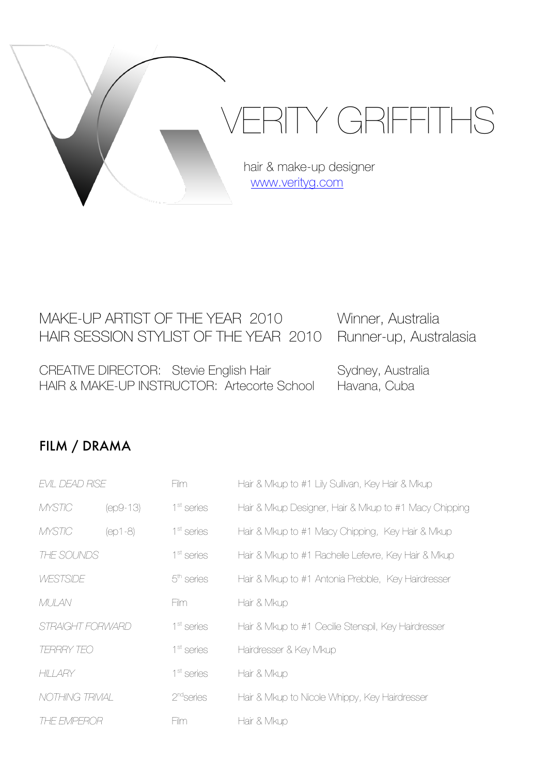

# MAKE-UP ARTIST OF THE YEAR 2010 Winner, Australia HAIR SESSION STYLIST OF THE YEAR 2010 Runner-up, Australasia

CREATIVE DIRECTOR: Stevie English Hair Sydney, Australia HAIR & MAKE-UP INSTRUCTOR: Artecorte School Havana, Cuba

## FILM / DRAMA

| EVIL DEAD RISE         |            | Film                   | Hair & Mkup to #1 Lily Sullivan, Key Hair & Mkup      |
|------------------------|------------|------------------------|-------------------------------------------------------|
| <b>MYSTIC</b>          | $(ep9-13)$ | 1 <sup>st</sup> series | Hair & Mkup Designer, Hair & Mkup to #1 Macy Chipping |
| <b>MYSTIC</b>          | (ep1-8)    | 1 <sup>st</sup> series | Hair & Mkup to #1 Macy Chipping, Key Hair & Mkup      |
| THE SOUNDS             |            | 1 <sup>st</sup> series | Hair & Mkup to #1 Rachelle Lefevre, Key Hair & Mkup   |
| WESTSIDE               |            | $5th$ series           | Hair & Mkup to #1 Antonia Prebble, Key Hairdresser    |
| MULAN                  |            | Film                   | Hair & Mkup                                           |
| STRAIGHT FORWARD       |            | 1 <sup>st</sup> series | Hair & Mkup to #1 Cecilie Stenspil, Key Hairdresser   |
| <b>TERRRY TEO</b>      |            | 1 <sup>st</sup> series | Hairdresser & Key Mkup                                |
| HILLARY                |            | 1 <sup>st</sup> series | Hair & Mkup                                           |
| <b>NOTHING TRIVIAL</b> |            | 2 <sup>nd</sup> series | Hair & Mkup to Nicole Whippy, Key Hairdresser         |
| THE EMPEROR            |            | Him.                   | Hair & Mkup                                           |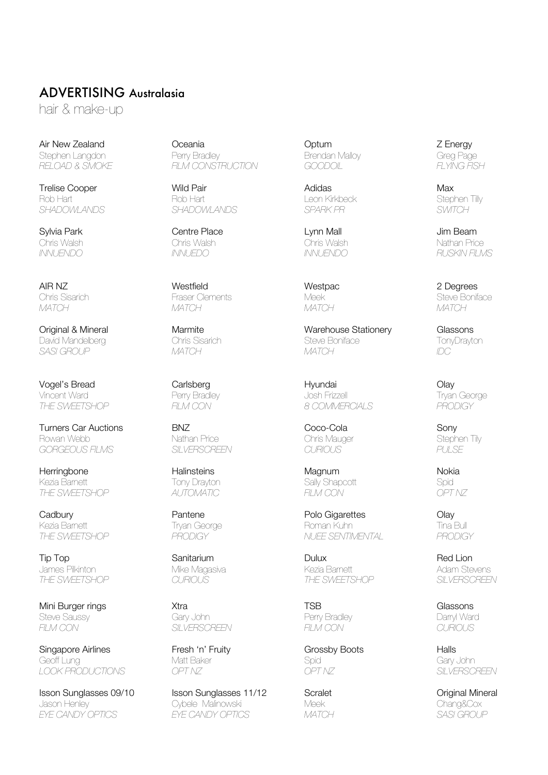#### ADVERTISING Australasia

hair & make-up

Trelise Cooper Wild Pair Adidas Max Rob Hart Rob Hart Leon Kirkbeck Stephen Tilly *SHADOWLANDS SHADOWLANDS SPARK PR SWITCH*

Vogel's Bread Carlsberg Carlsberg Hyundai Constantinople of Diay Vincent Ward Perry Bradley Josh Frizzell Tryan George *THE SWEETSHOP FILM CON 8 COMMERCIALS PRODIGY*

Turners Car Auctions BNZ Coco-Cola Sony *GORGEOUS FILMS SILVERSCREEN CURIOUS PULSE*

Herringbone Halinsteins Magnum Nokia *THE SWEETSHOP AUTOMATIC FILM CON OPT NZ*

James Pilkinton Mike Magasiva Kezia Barnett Adam Stevens

Mini Burger rings **Xtra** Xtra **Xtra Communist Communist Communist Communist Communist Communist Communist Communist Communist Communist Communist Communist Communist Communist Communist Communist Communist Communist Commun** Steve Saussy Gary John Perry Bradley Darryl Ward *FILM CON SILVERSCREEN FILM CON CURIOUS*

Singapore Airlines **Fresh 'n' Fruity** Grossby Boots Halls Geoff Lung Matt Baker Spid Gary John *LOOK PRODUCTIONS OPT NZ OPT NZ SILVERSCREEN*

Isson Sunglasses 09/10 Isson Sunglasses 11/12 Scralet Original Mineral Jason Henley Cybele Malinowski Meek Chang&Cox  $EYE$  *CANDY OPTICS* 

Air New Zealand Oceania Optum Z Energy Stephen Langdon Perry Bradley Brendan Malloy Greg Page *RELOAD & SMOKE FILM CONSTRUCTION GOODOIL FLYING FISH*

Sylvia Park Centre Place Lynn Mall Jim Beam Chris Walsh Chris Walsh Chris Walsh Nathan Price

AIR NZ Westfield Westpac 2 Degrees *MATCH MATCH MATCH MATCH*

Kezia Barnett Tony Drayton Sally Shapcott Spid

**Original & Mineral Christian Marmite** Marmos **Warehouse Stationery Classons**<br>
David Mandelberg Christian Christian Christian Christian Christian Christian Christian Christian Christian Chris<br>
Steve Boniface Christian Chri David Mandelberg Chris Sisarich Steve Boniface TonyDrayton *SASI GROUP MATCH MATCH IDC*

Phis Mauger Stephen Stephen Stephen Stephen Stephen Stephen Stephen Stephen Stephen Stephen Stephen Stephen Stephen Stephen Stephen Stephen Stephen Stephen Stephen Stephen Stephen Stephen Stephen Stephen Stephen Stephen St

Cadbury Pantene Polo Gigarettes Olay Kezia Barnett Tryan George Roman Kuhn Tina Bull *THE SWEETSHOP PRODIGY NUEE SENTIMENTAL PRODIGY*

Tip Top Sanitarium Dulux Red Lion *THE SWEETSHOP CURIOUS THE SWEETSHOP SILVERSCREEN*

*INNUENDO INNUEDO INNUENDO RUSKIN FILMS*

Chris Sisarich Fraser Clements Meek Steve Boniface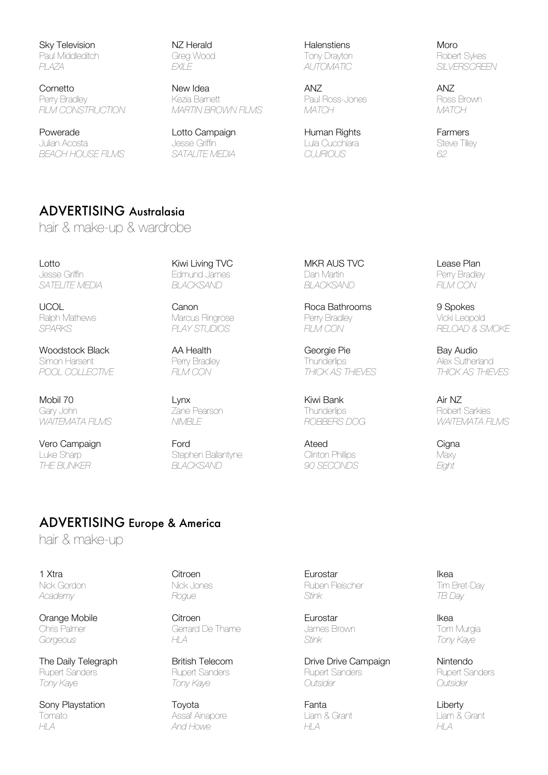Sky Television NZ Herald Halenstiens Moro Paul Middleditch Greg Wood Tony Drayton Robert Sykes

Cornetto New Idea ANZ ANZ Perry Bradley Kezia Barnett Paul Ross-Jones Ross Brown *FILM CONSTRUCTION MARTIN BROWN FILMS MATCH MATCH*

Powerade **Example Lotto Campaign Human Rights** Farmers Farmers Julian Acosta Jesse Griffin Lula Cucchiara Steve Tilley *BEACH HOUSE FILMS SATALITE MEDIA CUJRIOUS 62*

*PLAZA EXILE AUTOMATIC SILVERSCREEN*

## ADVERTISING Australasia

hair & make-up & wardrobe

Lotto Kiwi Living TVC MKR AUS TVC Lease Plan Jesse Griffin Edmund James Dan Martin Perry Bradley *SATELITE MEDIA BLACKSAND BLACKSAND FILM CON*

Woodstock Black **AA Health** Georgie Pie Bay Audio Simon Harsent **Perry Bradley Community Community Community** Thunderlips Alex Sutherland *POOL COLLECTIVE FILM CON THICK AS THIEVES THICK AS THIEVES* 

Mobil 70 Lynx Kiwi Bank Air NZ Gary John Zane Pearson Thunderlips Robert Sarkies

Vero Campaign Ford Ateed Cigna Luke Sharp Stephen Ballantyne Clinton Phillips Maxy *THE BUNKER BLACKSAND 90 SECONDS Eight*

UCOL Canon Roca Bathrooms 9 Spokes Marcus Ringrose **Perry Bradley Marcus Ringrose** Perry Bradley Vicki Leopold

*SPARKS PLAY STUDIOS FILM CON RELOAD & SMOKE*

*WAITEMATA FILMS NIMBLE ROBBERS DOG WAITEMATA FILMS*

#### ADVERTISING Europe & America

hair & make-up

Sony Playstation Toyota Toyota Fanta Fanta Liberty Tomato Assaf Ainapore Liam & Grant Liam & Grant *HLA And Howe HLA HLA*

Orange Mobile **Citroen** Citroen **Eurostar** Ikea Chris Palmer Gerrard De Thame James Brown Tom Murgia *Gorgeous HLA Stink Tony Kaye*

1 Xtra Citroen Eurostar Ikea Nick Gordon Nick Jones Ruben Fleischer Tim Bret-Day *Academy Rogue Stink TB Day*

The Daily Telegraph British Telecom Drive Drive Campaign Nintendo Rupert Sanders **Rupert Sanders Rupert Sanders** Rupert Sanders Rupert Sanders Rupert Sanders *Tony Kaye Tony Kaye Outsider Outsider*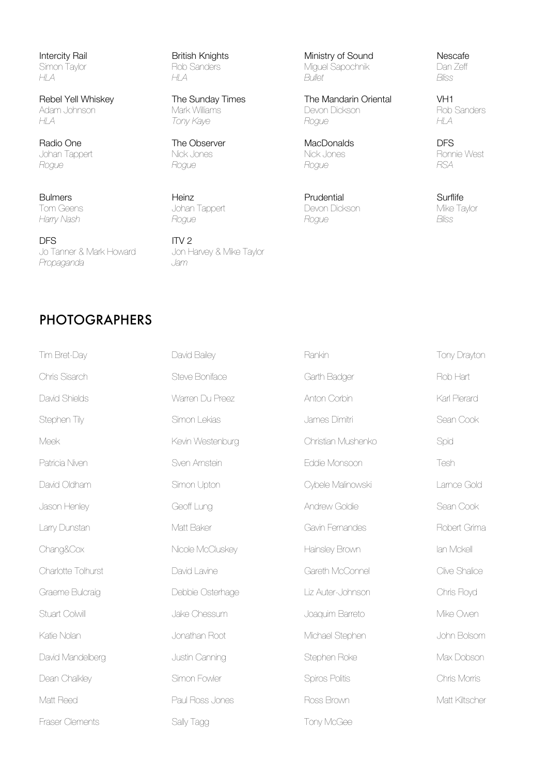Radio One The Observer MacDonalds DFS Johan Tappert Nick Jones Nick Jones Ronnie West *Rogue Rogue Rogue RSA*

**DFS**<br>
Jo Tanner & Mark Howard<br>
Jon Harvey & Mike Taylor Jo Tanner & Mark Howard Jon H<br>Propaganda Jam *Propaganda Jam*

Bulmers **Example 20 Surflife** Heinz **Heinz** Prudential Prudential Surflife Tom Geens Johan Tappert Devon Dickson Mike Taylor *Harry Nash Rogue Rogue Bliss*

Intercity Rail **Exercity Rail** British Knights Ministry of Sound Nescafe<br>Simon Taylor **Ministry of Sancers** Miguel Sapochnik Dan Zeff Simon Taylor Rob Sanders Miguel Sapochnik Dan Zehr<br>
H A Bullet Rullet Riss *HLA HLA Bullet Bliss*

**Rebel Yell Whiskey The Sunday Times** The Mandarin Oriental VH1<br>Adam Johnson Mark Williams Devon Dickson The Rob Sanders Adam Johnson Mark Williams Devon Dickson Rob Sanders *HLA Tony Kaye Rogue HLA*

### PHOTOGRAPHERS

| Tim Bret-Day           | David Bailey     | Rankin             | Tony Drayton   |
|------------------------|------------------|--------------------|----------------|
| Chris Sisarch          | Steve Boniface   | Garth Badger       | Rob Hart       |
| David Shields          | Warren Du Preez  | Anton Corbin       | Karl Pierard   |
| Stephen Tily           | Simon Lekias     | James Dimitri      | Sean Cook      |
| Meek                   | Kevin Westenburg | Christian Mushenko | Spid           |
| Patricia Niven         | Sven Arnstein    | Eddie Monsoon      | Tesh           |
| David Oldham           | Simon Upton      | Cybele Malinowski  | Lamce Gold     |
| Jason Henley           | Geoff Lung       | Andrew Goldie      | Sean Cook      |
| Larry Dunstan          | Matt Baker       | Gavin Fernandes    | Robert Grima   |
| Chang&Cox              | Nicole McCluskey | Hainsley Brown     | lan Mckell     |
| Charlotte Tolhurst     | David Lavine     | Gareth McConnel    | Clive Shalice  |
| Graeme Bulcraig        | Debbie Osterhage | Liz Auter-Johnson  | Chris Floyd    |
| Stuart Colwill         | Jake Chessum     | Joaquim Barreto    | Mike Owen      |
| Katie Nolan            | Jonathan Root    | Michael Stephen    | John Bolsom    |
| David Mandelberg       | Justin Canning   | Stephen Roke       | Max Dobson     |
| Dean Chalkley          | Simon Fowler     | Spiros Politis     | Chris Morris   |
| Matt Reed              | Paul Ross Jones  | Ross Brown         | Matt Kiltscher |
| <b>Fraser Clements</b> | Sally Tagg       | Tony McGee         |                |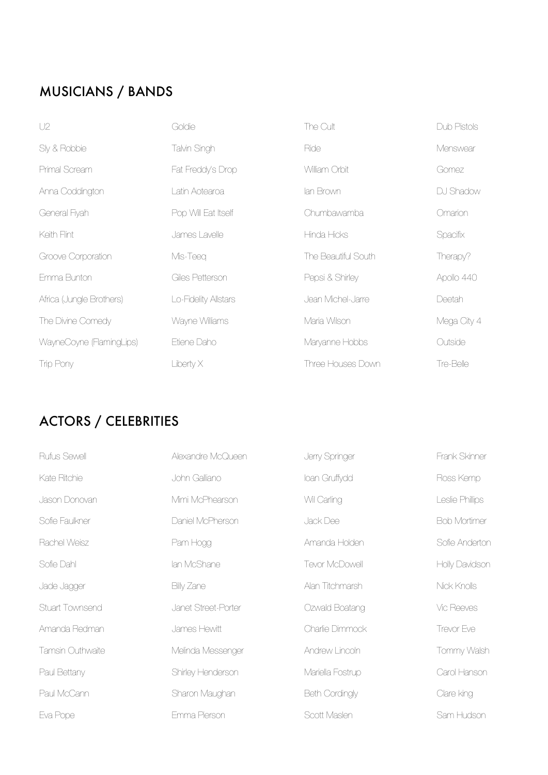# MUSICIANS / BANDS

| U2                       | Goldie               | The Cult            | Dub Pistols |
|--------------------------|----------------------|---------------------|-------------|
| Sly & Robbie             | Talvin Singh         | Ride                | Menswear    |
| Primal Scream            | Fat Freddy's Drop    | William Orbit       | Gomez       |
| Anna Coddington          | Latin Aotearoa       | lan Brown           | DJ Shadow   |
| General Fiyah            | Pop Will Eat Itself  | Chumbawamba         | Omarion     |
| Keith Flint              | James Lavelle        | Hinda Hicks         | Spacifix    |
| Groove Corporation       | Mis-Teeq             | The Beautiful South | Therapy?    |
| Emma Bunton              | Giles Petterson      | Pepsi & Shirley     | Apollo 440  |
| Africa (Jungle Brothers) | Lo-Fidelity Allstars | Jean Michel-Jarre   | Deetah      |
| The Divine Comedy        | Wayne Williams       | Maria Wilson        | Mega City 4 |
| WayneCoyne (FlamingLips) | Etiene Daho          | Maryanne Hobbs      | Outside     |
| Trip Pony                | Liberty X            | Three Houses Down   | Tre-Belle   |

# ACTORS / CELEBRITIES

| Rufus Sewell     | Alexandre McQueen   | Jerry Springer        | Frank Skinner       |
|------------------|---------------------|-----------------------|---------------------|
| Kate Ritchie     | John Galliano       | loan Gruffydd         | Ross Kemp           |
| Jason Donovan    | Mimi McPhearson     | Wil Carling           | Leslie Phillips     |
| Sofie Faulkner   | Daniel McPherson    | Jack Dee              | <b>Bob Mortimer</b> |
| Rachel Weisz     | Pam Hogg            | Amanda Holden         | Sofie Anderton      |
| Sofie Dahl       | lan McShane         | Tevor McDowell        | Holly Davidson      |
| Jade Jagger      | Billy Zane          | Alan Titchmarsh       | Nick Knolls         |
| Stuart Townsend  | Janet Street-Porter | Ozwald Boatang        | Vic Reeves          |
| Amanda Redman    | James Hewitt        | Charlie Dimmock       | Trevor Eve          |
| Tamsin Outhwaite | Melinda Messenger   | Andrew Lincoln        | Tommy Walsh         |
| Paul Bettany     | Shirley Henderson   | Mariella Fostrup      | Carol Hanson        |
| Paul McCann      | Sharon Maughan      | <b>Beth Cordingly</b> | Clare king          |
| Eva Pope         | Emma Pierson        | Scott Maslen          | Sam Hudson          |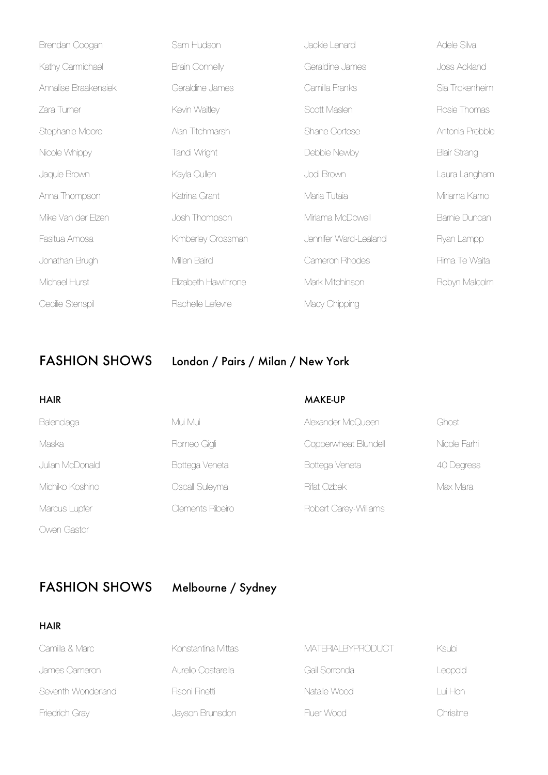| Brendan Coogan       | Sam Hudson            | Jackie Lenard         | Adele Silva         |
|----------------------|-----------------------|-----------------------|---------------------|
| Kathy Carmichael     | <b>Brain Connelly</b> | Geraldine James       | Joss Ackland        |
| Annalise Braakensiek | Geraldine James       | Camilla Franks        | Sia Trokenheim      |
| Zara Turner          | Kevin Waitley         | Scott Maslen          | Rosie Thomas        |
| Stephanie Moore      | Alan Titchmarsh       | Shane Cortese         | Antonia Prebble     |
| Nicole Whippy        | Tandi Wright          | Debbie Newby          | <b>Blair Strang</b> |
| Jaquie Brown         | Kayla Cullen          | Jodi Brown            | Laura Langham       |
| Anna Thompson        | Katrina Grant         | Maria Tutaia          | Miriama Kamo        |
| Mike Van der Elzen   | Josh Thompson         | Miriama McDowell      | Barnie Duncan       |
| Fasitua Amosa        | Kimberley Crossman    | Jennifer Ward-Lealand | Ryan Lampp          |
| Jonathan Brugh       | Millen Baird          | Cameron Rhodes        | Rima Te Waita       |
| Michael Hurst        | Elizabeth Hawthrone   | Mark Mitchinson       | Robyn Malcolm       |
| Cecilie Stenspil     | Rachelle Lefevre      | Macy Chipping         |                     |

# FASHION SHOWS London / Pairs / Milan / New York

| <b>HAIR</b>     |                  | <b>MAKE-UP</b>        |              |
|-----------------|------------------|-----------------------|--------------|
| Balenciaga      | Mui Mui          | Alexander McQueen     | Ghost        |
| Maska           | Romeo Gigli      | Copperwheat Blundell  | Nicole Farhi |
| Julian McDonald | Bottega Veneta   | Bottega Veneta        | 40 Degress   |
| Michiko Koshino | Oscall Suleyma   | Rifat Ozbek           | Max Mara     |
| Marcus Lupfer   | Clements Ribeiro | Robert Carey-Williams |              |
| Owen Gastor     |                  |                       |              |

FASHION SHOWS Melbourne / Sydney

HAIR

| Camilla & Marc     | Konstantina Mittas | MATERIAI BYPRODUCT | Ksubi     |
|--------------------|--------------------|--------------------|-----------|
| James Cameron      | Aurelio Costarella | Gail Sorronda I    | Leopold   |
| Seventh Wonderland | Fisoni Finetti     | Natalie Wood       | Lui Hon I |
| Friedrich Gray     | Jayson Brunsdon    | Fluer Wood         | Chrisitne |